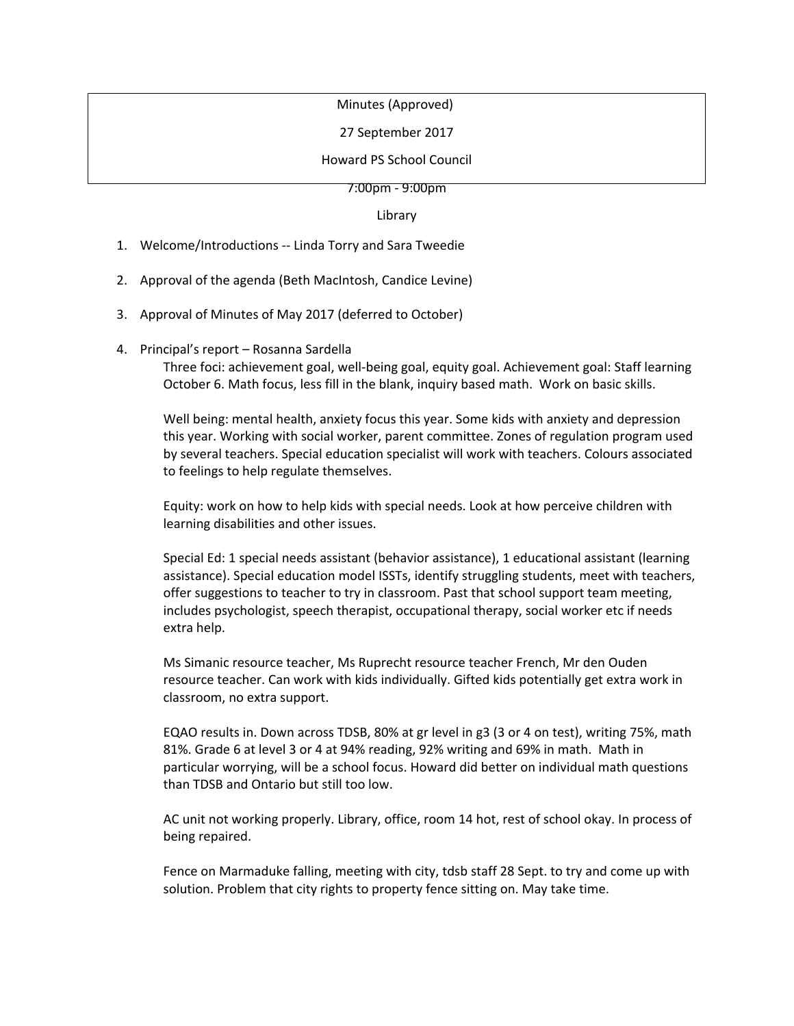## Minutes (Approved)

27 September 2017

Howard PS School Council

7:00pm - 9:00pm

Library

- 1. Welcome/Introductions -- Linda Torry and Sara Tweedie
- 2. Approval of the agenda (Beth MacIntosh, Candice Levine)
- 3. Approval of Minutes of May 2017 (deferred to October)
- 4. Principal's report Rosanna Sardella

Three foci: achievement goal, well-being goal, equity goal. Achievement goal: Staff learning October 6. Math focus, less fill in the blank, inquiry based math. Work on basic skills.

Well being: mental health, anxiety focus this year. Some kids with anxiety and depression this year. Working with social worker, parent committee. Zones of regulation program used by several teachers. Special education specialist will work with teachers. Colours associated to feelings to help regulate themselves.

Equity: work on how to help kids with special needs. Look at how perceive children with learning disabilities and other issues.

Special Ed: 1 special needs assistant (behavior assistance), 1 educational assistant (learning assistance). Special education model ISSTs, identify struggling students, meet with teachers, offer suggestions to teacher to try in classroom. Past that school support team meeting, includes psychologist, speech therapist, occupational therapy, social worker etc if needs extra help.

Ms Simanic resource teacher, Ms Ruprecht resource teacher French, Mr den Ouden resource teacher. Can work with kids individually. Gifted kids potentially get extra work in classroom, no extra support.

EQAO results in. Down across TDSB, 80% at gr level in g3 (3 or 4 on test), writing 75%, math 81%. Grade 6 at level 3 or 4 at 94% reading, 92% writing and 69% in math. Math in particular worrying, will be a school focus. Howard did better on individual math questions than TDSB and Ontario but still too low.

AC unit not working properly. Library, office, room 14 hot, rest of school okay. In process of being repaired.

Fence on Marmaduke falling, meeting with city, tdsb staff 28 Sept. to try and come up with solution. Problem that city rights to property fence sitting on. May take time.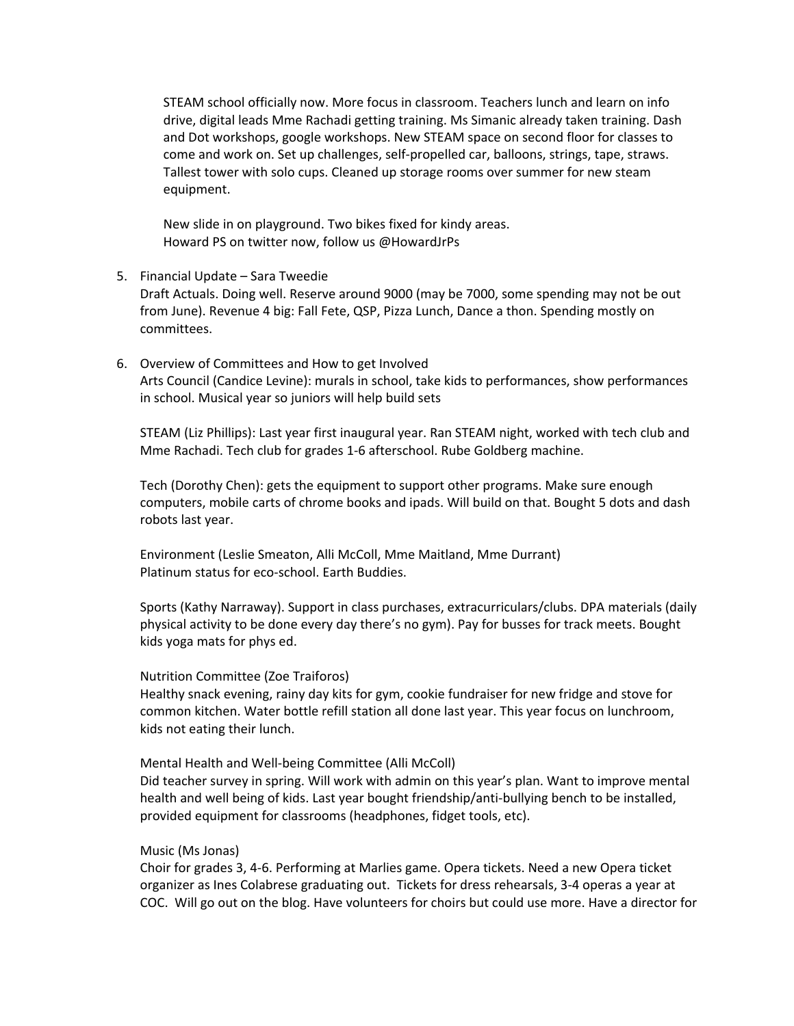STEAM school officially now. More focus in classroom. Teachers lunch and learn on info drive, digital leads Mme Rachadi getting training. Ms Simanic already taken training. Dash and Dot workshops, google workshops. New STEAM space on second floor for classes to come and work on. Set up challenges, self-propelled car, balloons, strings, tape, straws. Tallest tower with solo cups. Cleaned up storage rooms over summer for new steam equipment.

New slide in on playground. Two bikes fixed for kindy areas. Howard PS on twitter now, follow us @HowardJrPs

5. Financial Update – Sara Tweedie

Draft Actuals. Doing well. Reserve around 9000 (may be 7000, some spending may not be out from June). Revenue 4 big: Fall Fete, QSP, Pizza Lunch, Dance a thon. Spending mostly on committees.

6. Overview of Committees and How to get Involved Arts Council (Candice Levine): murals in school, take kids to performances, show performances in school. Musical year so juniors will help build sets

STEAM (Liz Phillips): Last year first inaugural year. Ran STEAM night, worked with tech club and Mme Rachadi. Tech club for grades 1-6 afterschool. Rube Goldberg machine.

Tech (Dorothy Chen): gets the equipment to support other programs. Make sure enough computers, mobile carts of chrome books and ipads. Will build on that. Bought 5 dots and dash robots last year.

Environment (Leslie Smeaton, Alli McColl, Mme Maitland, Mme Durrant) Platinum status for eco-school. Earth Buddies.

Sports (Kathy Narraway). Support in class purchases, extracurriculars/clubs. DPA materials (daily physical activity to be done every day there's no gym). Pay for busses for track meets. Bought kids yoga mats for phys ed.

## Nutrition Committee (Zoe Traiforos)

Healthy snack evening, rainy day kits for gym, cookie fundraiser for new fridge and stove for common kitchen. Water bottle refill station all done last year. This year focus on lunchroom, kids not eating their lunch.

Mental Health and Well-being Committee (Alli McColl)

Did teacher survey in spring. Will work with admin on this year's plan. Want to improve mental health and well being of kids. Last year bought friendship/anti-bullying bench to be installed, provided equipment for classrooms (headphones, fidget tools, etc).

## Music (Ms Jonas)

Choir for grades 3, 4-6. Performing at Marlies game. Opera tickets. Need a new Opera ticket organizer as Ines Colabrese graduating out. Tickets for dress rehearsals, 3-4 operas a year at COC. Will go out on the blog. Have volunteers for choirs but could use more. Have a director for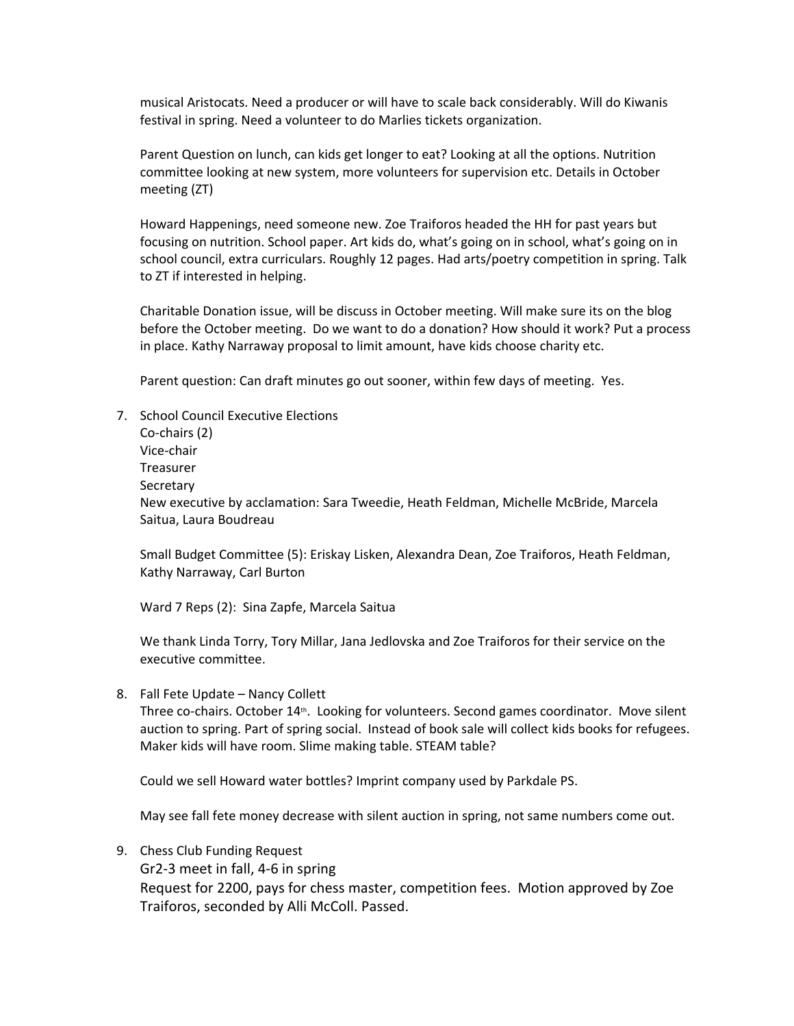musical Aristocats. Need a producer or will have to scale back considerably. Will do Kiwanis festival in spring. Need a volunteer to do Marlies tickets organization.

Parent Question on lunch, can kids get longer to eat? Looking at all the options. Nutrition committee looking at new system, more volunteers for supervision etc. Details in October meeting (ZT)

Howard Happenings, need someone new. Zoe Traiforos headed the HH for past years but focusing on nutrition. School paper. Art kids do, what's going on in school, what's going on in school council, extra curriculars. Roughly 12 pages. Had arts/poetry competition in spring. Talk to ZT if interested in helping.

Charitable Donation issue, will be discuss in October meeting. Will make sure its on the blog before the October meeting. Do we want to do a donation? How should it work? Put a process in place. Kathy Narraway proposal to limit amount, have kids choose charity etc.

Parent question: Can draft minutes go out sooner, within few days of meeting. Yes.

7. School Council Executive Elections Co-chairs (2) Vice-chair Treasurer Secretary New executive by acclamation: Sara Tweedie, Heath Feldman, Michelle McBride, Marcela Saitua, Laura Boudreau

Small Budget Committee (5): Eriskay Lisken, Alexandra Dean, Zoe Traiforos, Heath Feldman, Kathy Narraway, Carl Burton

Ward 7 Reps (2): Sina Zapfe, Marcela Saitua

We thank Linda Torry, Tory Millar, Jana Jedlovska and Zoe Traiforos for their service on the executive committee.

8. Fall Fete Update – Nancy Collett

Three co-chairs. October 14<sup>th</sup>. Looking for volunteers. Second games coordinator. Move silent auction to spring. Part of spring social. Instead of book sale will collect kids books for refugees. Maker kids will have room. Slime making table. STEAM table?

Could we sell Howard water bottles? Imprint company used by Parkdale PS.

May see fall fete money decrease with silent auction in spring, not same numbers come out.

9. Chess Club Funding Request

Gr2-3 meet in fall, 4-6 in spring Request for 2200, pays for chess master, competition fees. Motion approved by Zoe Traiforos, seconded by Alli McColl. Passed.